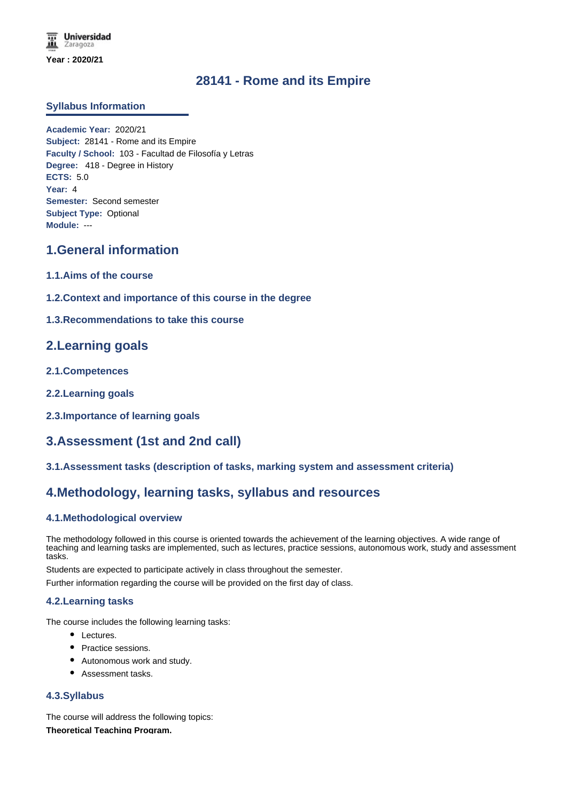# **28141 - Rome and its Empire**

### **Syllabus Information**

**Academic Year:** 2020/21 **Subject:** 28141 - Rome and its Empire **Faculty / School:** 103 - Facultad de Filosofía y Letras **Degree:** 418 - Degree in History **ECTS:** 5.0 **Year:** 4 **Semester:** Second semester **Subject Type:** Optional **Module:** ---

### **1.General information**

- **1.1.Aims of the course**
- **1.2.Context and importance of this course in the degree**
- **1.3.Recommendations to take this course**

### **2.Learning goals**

- **2.1.Competences**
- **2.2.Learning goals**
- **2.3.Importance of learning goals**

# **3.Assessment (1st and 2nd call)**

**3.1.Assessment tasks (description of tasks, marking system and assessment criteria)**

# **4.Methodology, learning tasks, syllabus and resources**

### **4.1.Methodological overview**

The methodology followed in this course is oriented towards the achievement of the learning objectives. A wide range of teaching and learning tasks are implemented, such as lectures, practice sessions, autonomous work, study and assessment tasks.

Students are expected to participate actively in class throughout the semester.

Further information regarding the course will be provided on the first day of class.

### **4.2.Learning tasks**

The course includes the following learning tasks:

- Lectures.
- Practice sessions.
- Autonomous work and study.
- Assessment tasks.

### **4.3.Syllabus**

The course will address the following topics: **Theoretical Teaching Program.**